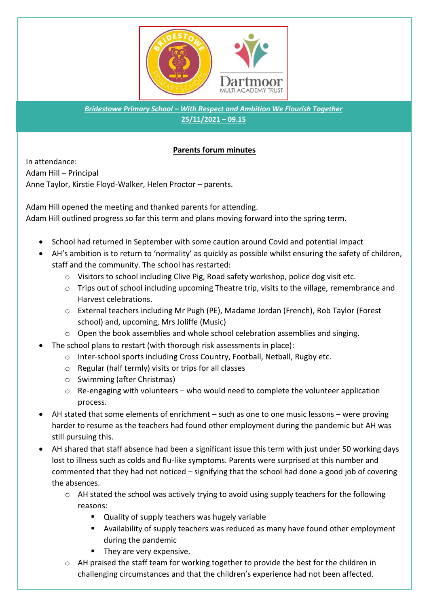

*Bridestowe Primary School – With Respect and Ambition We Flourish Together* **25/11/2021 – 09.15**

## **Parents forum minutes**

In attendance: Adam Hill – Principal Anne Taylor, Kirstie Floyd-Walker, Helen Proctor – parents.

Adam Hill opened the meeting and thanked parents for attending. Adam Hill outlined progress so far this term and plans moving forward into the spring term.

- School had returned in September with some caution around Covid and potential impact
- AH's ambition is to return to 'normality' as quickly as possible whilst ensuring the safety of children, staff and the community. The school has restarted:
	- o Visitors to school including Clive Pig, Road safety workshop, police dog visit etc.
	- o Trips out of school including upcoming Theatre trip, visits to the village, remembrance and Harvest celebrations.
	- o External teachers including Mr Pugh (PE), Madame Jordan (French), Rob Taylor (Forest school) and, upcoming, Mrs Joliffe (Music)
	- o Open the book assemblies and whole school celebration assemblies and singing.
- The school plans to restart (with thorough risk assessments in place):
	- o Inter-school sports including Cross Country, Football, Netball, Rugby etc.
	- o Regular (half termly) visits or trips for all classes
	- o Swimming (after Christmas)
	- $\circ$  Re-engaging with volunteers who would need to complete the volunteer application process.
- AH stated that some elements of enrichment such as one to one music lessons were proving harder to resume as the teachers had found other employment during the pandemic but AH was still pursuing this.
- AH shared that staff absence had been a significant issue this term with just under 50 working days lost to illness such as colds and flu-like symptoms. Parents were surprised at this number and commented that they had not noticed – signifying that the school had done a good job of covering the absences.
	- o AH stated the school was actively trying to avoid using supply teachers for the following reasons:
		- Quality of supply teachers was hugely variable
		- Availability of supply teachers was reduced as many have found other employment during the pandemic
		- They are very expensive.
	- o AH praised the staff team for working together to provide the best for the children in challenging circumstances and that the children's experience had not been affected.